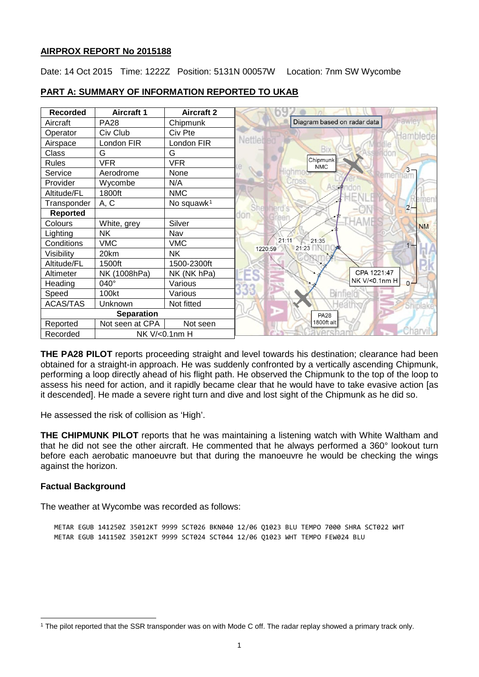## **AIRPROX REPORT No 2015188**

Date: 14 Oct 2015 Time: 1222Z Position: 5131N 00057W Location: 7nm SW Wycombe

| <b>Recorded</b>   | <b>Aircraft 1</b> | <b>Aircraft 2</b>      |                                            |
|-------------------|-------------------|------------------------|--------------------------------------------|
| Aircraft          | <b>PA28</b>       | Chipmunk               | Fawley<br>Diagram based on radar data      |
| Operator          | Civ Club          | Civ Pte                | Hamblede                                   |
| Airspace          | London FIR        | London FIR             | Nettlei                                    |
| Class             | G                 | G                      | <b>Bix</b>                                 |
| <b>Rules</b>      | <b>VFR</b>        | <b>VFR</b>             | Chipmunk<br><b>NMC</b>                     |
| Service           | Aerodrome         | None                   | $3 -$                                      |
| Provider          | Wycombe           | N/A                    |                                            |
| Altitude/FL       | 1800ft            | <b>NMC</b>             |                                            |
| Transponder       | A, C              | No squawk <sup>1</sup> | menl<br>She nerd<br>$2 -$                  |
| <b>Reported</b>   |                   |                        |                                            |
| Colours           | White, grey       | Silver                 | <b>NM</b>                                  |
| Lighting          | <b>NK</b>         | Nav                    |                                            |
| Conditions        | <b>VMC</b>        | <b>VMC</b>             | 21:11<br>$\big/$ 21:35<br>21:23<br>1220:59 |
| Visibility        | 20km              | <b>NK</b>              |                                            |
| Altitude/FL       | 1500ft            | 1500-2300ft            |                                            |
| Altimeter         | NK (1008hPa)      | NK (NK hPa)            | CPA 1221:47                                |
| Heading           | 040°              | Various                | NK V/<0.1nm H<br>$0 -$                     |
| Speed             | 100kt             | Various                |                                            |
| <b>ACAS/TAS</b>   | Unknown           | Not fitted             |                                            |
| <b>Separation</b> |                   |                        | <b>PA28</b>                                |
| Reported          | Not seen at CPA   | Not seen               | 1800ft alt                                 |
| Recorded          | NK V/<0.1nm H     |                        |                                            |

## **PART A: SUMMARY OF INFORMATION REPORTED TO UKAB**

**THE PA28 PILOT** reports proceeding straight and level towards his destination; clearance had been obtained for a straight-in approach. He was suddenly confronted by a vertically ascending Chipmunk, performing a loop directly ahead of his flight path. He observed the Chipmunk to the top of the loop to assess his need for action, and it rapidly became clear that he would have to take evasive action [as it descended]. He made a severe right turn and dive and lost sight of the Chipmunk as he did so.

He assessed the risk of collision as 'High'.

**THE CHIPMUNK PILOT** reports that he was maintaining a listening watch with White Waltham and that he did not see the other aircraft. He commented that he always performed a 360° lookout turn before each aerobatic manoeuvre but that during the manoeuvre he would be checking the wings against the horizon.

## **Factual Background**

 $\overline{\phantom{a}}$ 

The weather at Wycombe was recorded as follows:

METAR EGUB 141250Z 35012KT 9999 SCT026 BKN040 12/06 Q1023 BLU TEMPO 7000 SHRA SCT022 WHT METAR EGUB 141150Z 35012KT 9999 SCT024 SCT044 12/06 Q1023 WHT TEMPO FEW024 BLU

<span id="page-0-0"></span><sup>1</sup> The pilot reported that the SSR transponder was on with Mode C off. The radar replay showed a primary track only.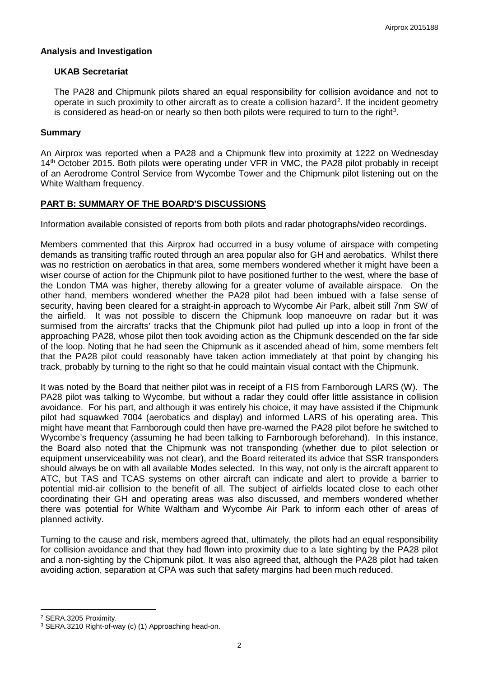#### **Analysis and Investigation**

#### **UKAB Secretariat**

The PA28 and Chipmunk pilots shared an equal responsibility for collision avoidance and not to operate in such proximity to other aircraft as to create a collision hazard<sup>[2](#page-1-0)</sup>. If the incident geometry is considered as head-on or nearly so then both pilots were required to turn to the right<sup>[3](#page-1-1)</sup>.

#### **Summary**

An Airprox was reported when a PA28 and a Chipmunk flew into proximity at 1222 on Wednesday 14<sup>th</sup> October 2015. Both pilots were operating under VFR in VMC, the PA28 pilot probably in receipt of an Aerodrome Control Service from Wycombe Tower and the Chipmunk pilot listening out on the White Waltham frequency.

## **PART B: SUMMARY OF THE BOARD'S DISCUSSIONS**

Information available consisted of reports from both pilots and radar photographs/video recordings.

Members commented that this Airprox had occurred in a busy volume of airspace with competing demands as transiting traffic routed through an area popular also for GH and aerobatics. Whilst there was no restriction on aerobatics in that area, some members wondered whether it might have been a wiser course of action for the Chipmunk pilot to have positioned further to the west, where the base of the London TMA was higher, thereby allowing for a greater volume of available airspace. On the other hand, members wondered whether the PA28 pilot had been imbued with a false sense of security, having been cleared for a straight-in approach to Wycombe Air Park, albeit still 7nm SW of the airfield. It was not possible to discern the Chipmunk loop manoeuvre on radar but it was surmised from the aircrafts' tracks that the Chipmunk pilot had pulled up into a loop in front of the approaching PA28, whose pilot then took avoiding action as the Chipmunk descended on the far side of the loop. Noting that he had seen the Chipmunk as it ascended ahead of him, some members felt that the PA28 pilot could reasonably have taken action immediately at that point by changing his track, probably by turning to the right so that he could maintain visual contact with the Chipmunk.

It was noted by the Board that neither pilot was in receipt of a FIS from Farnborough LARS (W). The PA28 pilot was talking to Wycombe, but without a radar they could offer little assistance in collision avoidance. For his part, and although it was entirely his choice, it may have assisted if the Chipmunk pilot had squawked 7004 (aerobatics and display) and informed LARS of his operating area. This might have meant that Farnborough could then have pre-warned the PA28 pilot before he switched to Wycombe's frequency (assuming he had been talking to Farnborough beforehand). In this instance, the Board also noted that the Chipmunk was not transponding (whether due to pilot selection or equipment unserviceability was not clear), and the Board reiterated its advice that SSR transponders should always be on with all available Modes selected. In this way, not only is the aircraft apparent to ATC, but TAS and TCAS systems on other aircraft can indicate and alert to provide a barrier to potential mid-air collision to the benefit of all. The subject of airfields located close to each other coordinating their GH and operating areas was also discussed, and members wondered whether there was potential for White Waltham and Wycombe Air Park to inform each other of areas of planned activity.

Turning to the cause and risk, members agreed that, ultimately, the pilots had an equal responsibility for collision avoidance and that they had flown into proximity due to a late sighting by the PA28 pilot and a non-sighting by the Chipmunk pilot. It was also agreed that, although the PA28 pilot had taken avoiding action, separation at CPA was such that safety margins had been much reduced.

l

<span id="page-1-0"></span><sup>2</sup> SERA.3205 Proximity.

<span id="page-1-1"></span><sup>3</sup> SERA.3210 Right-of-way (c) (1) Approaching head-on.